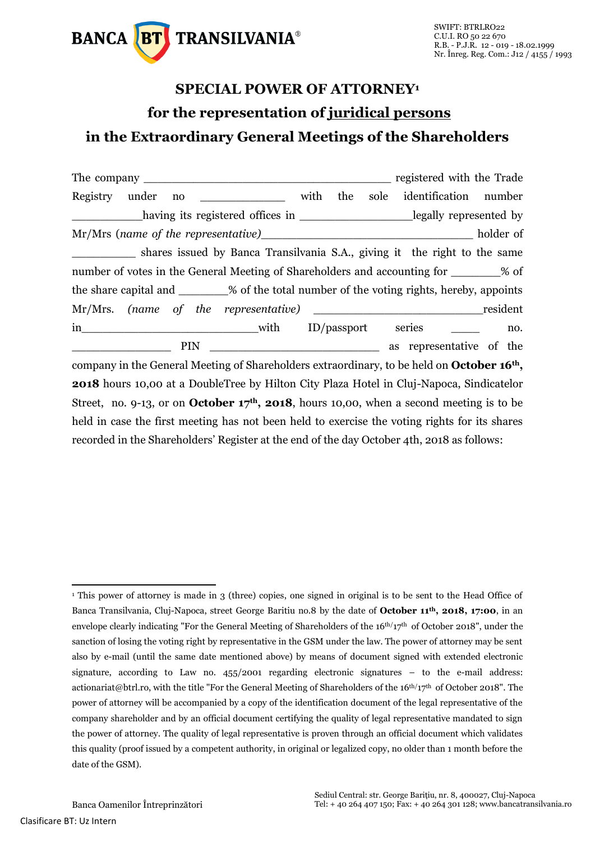

## **SPECIAL POWER OF ATTORNEY<sup>1</sup> for the representation of juridical persons in the Extraordinary General Meetings of the Shareholders**

|                                                                                                        |  |     |                                                                                  |  |  |     |      | registered with the Trade |                       |  |     |
|--------------------------------------------------------------------------------------------------------|--|-----|----------------------------------------------------------------------------------|--|--|-----|------|---------------------------|-----------------------|--|-----|
| Registry under                                                                                         |  | no  | with                                                                             |  |  | the | sole |                           | identification number |  |     |
|                                                                                                        |  |     | having its registered offices in _________________________legally represented by |  |  |     |      |                           |                       |  |     |
|                                                                                                        |  |     |                                                                                  |  |  |     |      |                           |                       |  |     |
|                                                                                                        |  |     | shares issued by Banca Transilvania S.A., giving it the right to the same        |  |  |     |      |                           |                       |  |     |
| number of votes in the General Meeting of Shareholders and accounting for ________% of                 |  |     |                                                                                  |  |  |     |      |                           |                       |  |     |
| the share capital and ________% of the total number of the voting rights, hereby, appoints             |  |     |                                                                                  |  |  |     |      |                           |                       |  |     |
|                                                                                                        |  |     |                                                                                  |  |  |     |      |                           |                       |  |     |
|                                                                                                        |  |     |                                                                                  |  |  |     |      |                           |                       |  | no. |
|                                                                                                        |  | PIN |                                                                                  |  |  |     |      | as representative of the  |                       |  |     |
| company in the General Meeting of Shareholders extraordinary, to be held on October 16 <sup>th</sup> , |  |     |                                                                                  |  |  |     |      |                           |                       |  |     |
| <b>2018</b> hours 10,00 at a DoubleTree by Hilton City Plaza Hotel in Cluj-Napoca, Sindicatelor        |  |     |                                                                                  |  |  |     |      |                           |                       |  |     |
| Street, no. 9-13, or on October $17th$ , 2018, hours 10,00, when a second meeting is to be             |  |     |                                                                                  |  |  |     |      |                           |                       |  |     |
| held in case the first meeting has not been held to exercise the voting rights for its shares          |  |     |                                                                                  |  |  |     |      |                           |                       |  |     |
| recorded in the Shareholders' Register at the end of the day October 4th, 2018 as follows:             |  |     |                                                                                  |  |  |     |      |                           |                       |  |     |

-

<sup>&</sup>lt;sup>1</sup> This power of attorney is made in 3 (three) copies, one signed in original is to be sent to the Head Office of Banca Transilvania, Cluj-Napoca, street George Baritiu no.8 by the date of **October 11th, 2018, 17:00**, in an envelope clearly indicating "For the General Meeting of Shareholders of the  $16th/17th$  of October 2018", under the sanction of losing the voting right by representative in the GSM under the law. The power of attorney may be sent also by e-mail (until the same date mentioned above) by means of document signed with extended electronic signature, according to Law no. 455/2001 regarding electronic signatures – to the e-mail address: actionariat@btrl.ro, with the title "For the General Meeting of Shareholders of the  $16<sup>th</sup>/17<sup>th</sup>$  of October 2018". The power of attorney will be accompanied by a copy of the identification document of the legal representative of the company shareholder and by an official document certifying the quality of legal representative mandated to sign the power of attorney. The quality of legal representative is proven through an official document which validates this quality (proof issued by a competent authority, in original or legalized copy, no older than 1 month before the date of the GSM).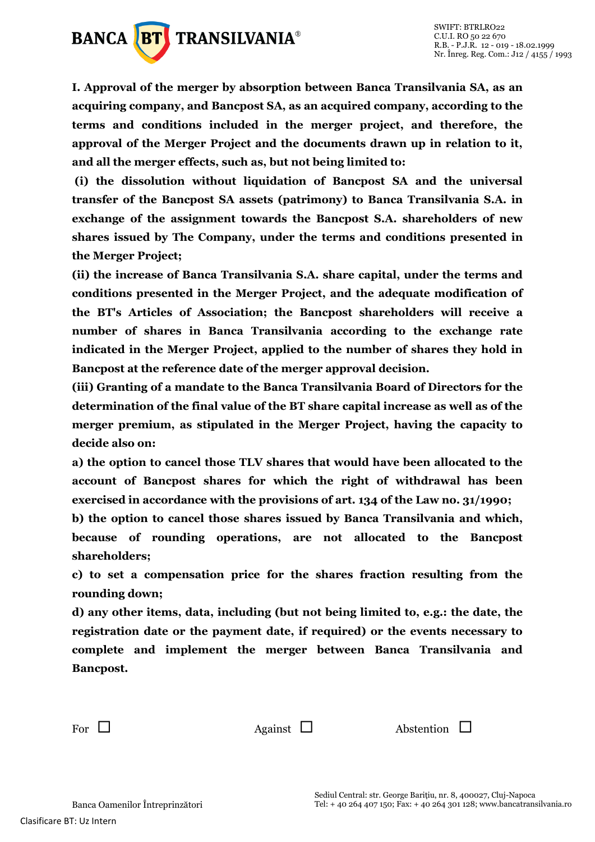

**I. Approval of the merger by absorption between Banca Transilvania SA, as an acquiring company, and Bancpost SA, as an acquired company, according to the terms and conditions included in the merger project, and therefore, the approval of the Merger Project and the documents drawn up in relation to it, and all the merger effects, such as, but not being limited to:**

**(i) the dissolution without liquidation of Bancpost SA and the universal transfer of the Bancpost SA assets (patrimony) to Banca Transilvania S.A. in exchange of the assignment towards the Bancpost S.A. shareholders of new shares issued by The Company, under the terms and conditions presented in the Merger Project;** 

**(ii) the increase of Banca Transilvania S.A. share capital, under the terms and conditions presented in the Merger Project, and the adequate modification of the BT's Articles of Association; the Bancpost shareholders will receive a number of shares in Banca Transilvania according to the exchange rate indicated in the Merger Project, applied to the number of shares they hold in Bancpost at the reference date of the merger approval decision.**

**(iii) Granting of a mandate to the Banca Transilvania Board of Directors for the determination of the final value of the BT share capital increase as well as of the merger premium, as stipulated in the Merger Project, having the capacity to decide also on:**

**a) the option to cancel those TLV shares that would have been allocated to the account of Bancpost shares for which the right of withdrawal has been exercised in accordance with the provisions of art. 134 of the Law no. 31/1990;** 

**b) the option to cancel those shares issued by Banca Transilvania and which, because of rounding operations, are not allocated to the Bancpost shareholders;** 

**c) to set a compensation price for the shares fraction resulting from the rounding down;** 

**d) any other items, data, including (but not being limited to, e.g.: the date, the registration date or the payment date, if required) or the events necessary to complete and implement the merger between Banca Transilvania and Bancpost.**

For  $\Box$  Against  $\Box$  Abstention  $\Box$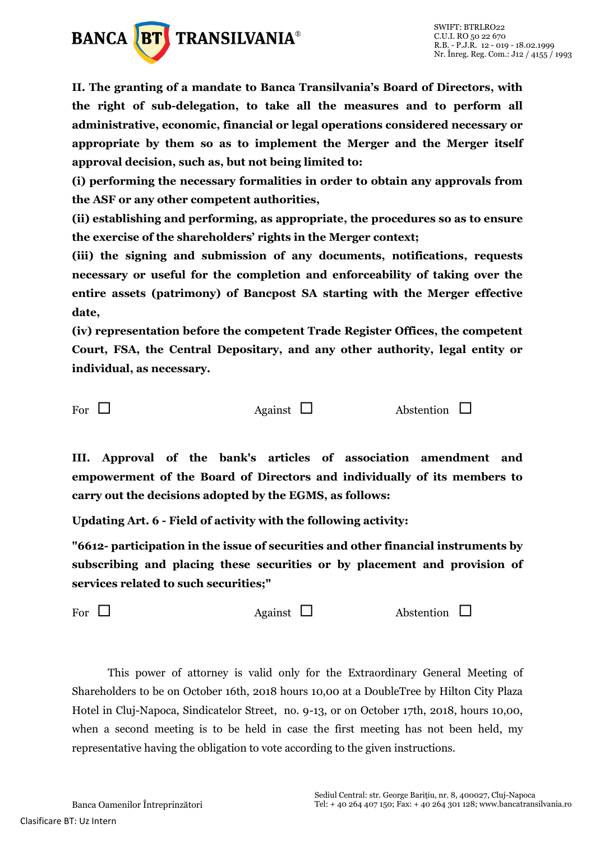

**II. The granting of a mandate to Banca Transilvania's Board of Directors, with the right of sub-delegation, to take all the measures and to perform all administrative, economic, financial or legal operations considered necessary or appropriate by them so as to implement the Merger and the Merger itself approval decision, such as, but not being limited to:** 

**(i) performing the necessary formalities in order to obtain any approvals from the ASF or any other competent authorities,** 

**(ii) establishing and performing, as appropriate, the procedures so as to ensure the exercise of the shareholders' rights in the Merger context;** 

**(iii) the signing and submission of any documents, notifications, requests necessary or useful for the completion and enforceability of taking over the entire assets (patrimony) of Bancpost SA starting with the Merger effective date,** 

**(iv) representation before the competent Trade Register Offices, the competent Court, FSA, the Central Depositary, and any other authority, legal entity or individual, as necessary.**

For  $\Box$  Against  $\Box$  Abstention  $\Box$ 

**III. Approval of the bank's articles of association amendment and empowerment of the Board of Directors and individually of its members to carry out the decisions adopted by the EGMS, as follows:**

**Updating Art. 6 - Field of activity with the following activity:**

**"6612- participation in the issue of securities and other financial instruments by subscribing and placing these securities or by placement and provision of services related to such securities;"**

For  $\Box$  Against  $\Box$  Abstention  $\Box$ 

This power of attorney is valid only for the Extraordinary General Meeting of Shareholders to be on October 16th, 2018 hours 10,00 at a DoubleTree by Hilton City Plaza Hotel in Cluj-Napoca, Sindicatelor Street, no. 9-13, or on October 17th, 2018, hours 10,00, when a second meeting is to be held in case the first meeting has not been held, my representative having the obligation to vote according to the given instructions.